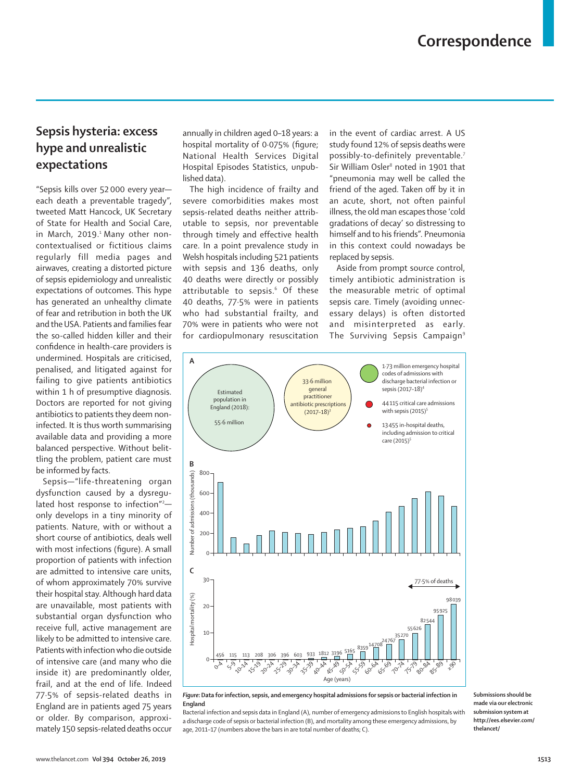## **Sepsis hysteria: excess hype and unrealistic expectations**

"Sepsis kills over 52 000 every year each death a preventable tragedy", tweeted Matt Hancock, UK Secretary of State for Health and Social Care, in March, 2019.<sup>1</sup> Many other noncontextualised or fictitious claims regularly fill media pages and airwaves, creating a distorted picture of sepsis epidemiology and unrealistic expectations of outcomes. This hype has generated an unhealthy climate of fear and retribution in both the UK and the USA. Patients and families fear the so-called hidden killer and their confidence in health-care providers is undermined. Hospitals are criticised, penalised, and litigated against for failing to give patients antibiotics within 1 h of presumptive diagnosis. Doctors are reported for not giving antibiotics to patients they deem noninfected. It is thus worth summarising available data and providing a more balanced perspective. Without belittling the problem, patient care must be informed by facts.

Sepsis—"life-threatening organ dysfunction caused by a dysregulated host response to infection"<sup>2</sup> only develops in a tiny minority of patients. Nature, with or without a short course of antibiotics, deals well with most infections (figure). A small proportion of patients with infection are admitted to intensive care units, of whom approximately 70% survive their hospital stay. Although hard data are unavailable, most patients with substantial organ dysfunction who receive full, active management are likely to be admitted to intensive care. Patients with infection who die outside of intensive care (and many who die inside it) are predominantly older, frail, and at the end of life. Indeed 77·5% of sepsis-related deaths in England are in patients aged 75 years or older. By comparison, approximately 150 sepsis-related deaths occur annually in children aged 0–18 years: a hospital mortality of 0·075% (figure; National Health Services Digital Hospital Episodes Statistics, unpublished data).

The high incidence of frailty and severe comorbidities makes most sepsis-related deaths neither attributable to sepsis, nor preventable through timely and effective health care. In a point prevalence study in Welsh hospitals including 521 patients with sepsis and 136 deaths, only 40 deaths were directly or possibly attributable to sepsis.<sup>6</sup> Of these 40 deaths, 77·5% were in patients who had substantial frailty, and 70% were in patients who were not for cardiopulmonary resuscitation

in the event of cardiac arrest. A US study found 12% of sepsis deaths were possibly-to-definitely preventable.<sup>7</sup> Sir William Osler<sup>8</sup> noted in 1901 that "pneumonia may well be called the friend of the aged. Taken off by it in an acute, short, not often painful illness, the old man escapes those 'cold gradations of decay' so distressing to himself and to his friends". Pneumonia in this context could nowadays be replaced by sepsis.

Aside from prompt source control, timely antibiotic administration is the measurable metric of optimal sepsis care. Timely (avoiding unnecessary delays) is often distorted and misinterpreted as early. The Surviving Sepsis Campaign<sup>9</sup>



*Figure***: Data for infection, sepsis, and emergency hospital admissions for sepsis or bacterial infection in England**

Bacterial infection and sepsis data in England (A), number of emergency admissions to English hospitals with a discharge code of sepsis or bacterial infection (B), and mortality among these emergency admissions, by age, 2011–17 (numbers above the bars in are total number of deaths; C).

**Submissions should be made via our electronic submission system at http://ees.elsevier.com/ thelancet/**